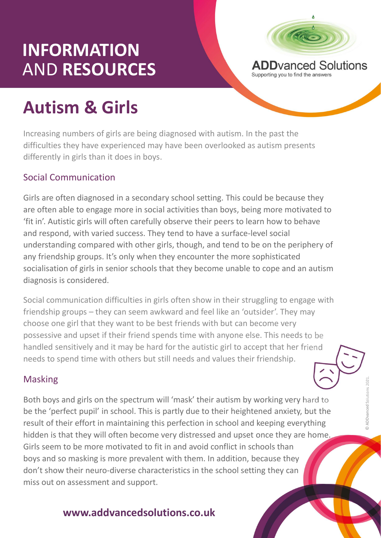## INFORMATION<br>AND RESOURCES ADD AND Solutions AND RESOURCES



# Autism & Girls

Increasing numbers of girls are being diagnosed with autism. In the past the difficulties they have experienced may have been overlooked as autism presents differently in girls than it does in boys.

#### Social Communication

Girls are often diagnosed in a secondary school setting. This could be because they are often able to engage more in social activities than boys, being more motivated to **ADDVanced Solutions<br>
Autism & Girls**<br>
Increasing numbers of girls are being diagnosed with autism. In the past the<br>
difficulties they have experienced may have been overlooked as autism presents<br>
differently in girls than and respond, with varied success. They tend to have a surface-level social understanding compared with other girls, though, and tend to be on the periphery of any friendship groups. It's only when they encounter the more sophisticated socialisation of girls in senior schools that they become unable to cope and an autism diagnosis is considered. differently in girls than it does in boys.<br> **Social Communication**<br>
Girls are often diagnosed in a secondary school setting. This could be because they<br>
are often able to engage more in social activities than boys, being m on as occurrung usoscal in a sectionary shorto setting. This count of exercise they deter the objects of fit in<br>
"It in'. Autistic girls will often carefully observe their peers to learn how to behave<br>
and respond, with va

Expectively, and tend to be on the periphery of<br>they encounter the more sophisticated<br>that they become unable to cope and an autism<br>irls often show in their struggling to engage with<br>kward and feel like an 'outsider'. They Social communication difficulties in girls often show in their struggling to engage with choose one girl that they want to be best friends with but can become very possessive and upset if their friend spends time with anyone else. This needs to be handled sensitively and it may be hard for the autistic girl to accept that her friend

#### Masking

Both boys and girls on the spectrum will 'mask' their autism by working very hard to<br>be the 'perfect pupil' in school. This is partly due to their heightened anxiety, but the<br>result of their effort in maintaining this perf be the 'perfect pupil' in school. This is partly due to their heightened anxiety, but the result of their effort in maintaining this perfection in school and keeping everything hidden is that they will often become very distressed and upset once they are home. Girls seem to be more motivated to fit in and avoid conflict in schools than boys and so masking is more prevalent with them. In addition, because they riendship groups – they can seem awkward and reel like an 'outsider'. Iney may<br>choose one girl that they want to be best friends with but can become very<br>possessive and upset if their friend spends time with anyone else. T miss out on assessment and support.

### www.addvancedsolutions.co.uk